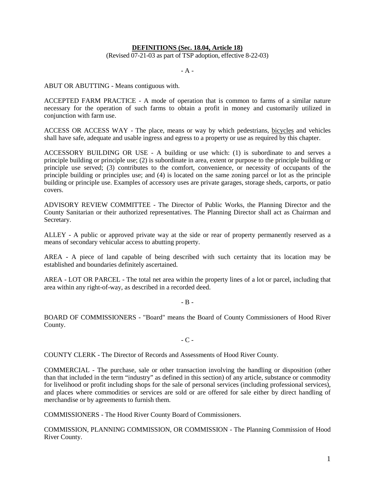## **DEFINITIONS (Sec. 18.04, Article 18)**

(Revised 07-21-03 as part of TSP adoption, effective 8-22-03)

- A -

ABUT OR ABUTTING - Means contiguous with.

ACCEPTED FARM PRACTICE - A mode of operation that is common to farms of a similar nature necessary for the operation of such farms to obtain a profit in money and customarily utilized in conjunction with farm use.

ACCESS OR ACCESS WAY - The place, means or way by which pedestrians, bicycles and vehicles shall have safe, adequate and usable ingress and egress to a property or use as required by this chapter.

ACCESSORY BUILDING OR USE - A building or use which: (1) is subordinate to and serves a principle building or principle use; (2) is subordinate in area, extent or purpose to the principle building or principle use served; (3) contributes to the comfort, convenience, or necessity of occupants of the principle building or principles use; and (4) is located on the same zoning parcel or lot as the principle building or principle use. Examples of accessory uses are private garages, storage sheds, carports, or patio covers.

ADVISORY REVIEW COMMITTEE - The Director of Public Works, the Planning Director and the County Sanitarian or their authorized representatives. The Planning Director shall act as Chairman and Secretary.

ALLEY - A public or approved private way at the side or rear of property permanently reserved as a means of secondary vehicular access to abutting property.

AREA - A piece of land capable of being described with such certainty that its location may be established and boundaries definitely ascertained.

AREA - LOT OR PARCEL - The total net area within the property lines of a lot or parcel, including that area within any right-of-way, as described in a recorded deed.

 $-$  B  $-$ 

BOARD OF COMMISSIONERS - "Board" means the Board of County Commissioners of Hood River County.

- C -

COUNTY CLERK - The Director of Records and Assessments of Hood River County.

COMMERCIAL - The purchase, sale or other transaction involving the handling or disposition (other than that included in the term "industry" as defined in this section) of any article, substance or commodity for livelihood or profit including shops for the sale of personal services (including professional services), and places where commodities or services are sold or are offered for sale either by direct handling of merchandise or by agreements to furnish them.

COMMISSIONERS - The Hood River County Board of Commissioners.

COMMISSION, PLANNING COMMISSION, OR COMMISSION - The Planning Commission of Hood River County.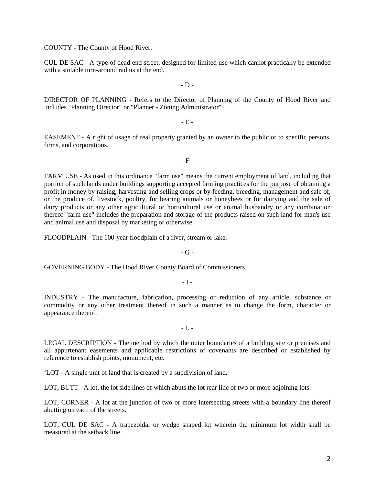COUNTY - The County of Hood River.

CUL DE SAC - A type of dead end street, designed for limited use which cannot practically be extended with a suitable turn-around radius at the end.

 $-D -$ 

DIRECTOR OF PLANNING - Refers to the Director of Planning of the County of Hood River and includes "Planning Director" or "Planner - Zoning Administrator".

- E -

EASEMENT - A right of usage of real property granted by an owner to the public or to specific persons, firms, and corporations.

- F -

FARM USE - As used in this ordinance "farm use" means the current employment of land, including that portion of such lands under buildings supporting accepted farming practices for the purpose of obtaining a profit in money by raising, harvesting and selling crops or by feeding, breeding, management and sale of, or the produce of, livestock, poultry, fur bearing animals or honeybees or for dairying and the sale of dairy products or any other agricultural or horticultural use or animal husbandry or any combination thereof "farm use" includes the preparation and storage of the products raised on such land for man's use and animal use and disposal by marketing or otherwise.

FLOODPLAIN - The 100-year floodplain of a river, stream or lake.

 $-G -$ 

GOVERNING BODY - The Hood River County Board of Commissioners.

 $-I -$ 

INDUSTRY - The manufacture, fabrication, processing or reduction of any article, substance or commodity or any other treatment thereof in such a manner as to change the form, character or appearance thereof.

 $-L -$ 

LEGAL DESCRIPTION - The method by which the outer boundaries of a building site or premises and all appurtenant easements and applicable restrictions or covenants are described or established by reference to establish points, monument, etc.

<sup>1</sup>LOT - A single unit of land that is created by a subdivision of land.

LOT, BUTT - A lot, the lot side lines of which abuts the lot rear line of two or more adjoining lots.

LOT, CORNER - A lot at the junction of two or more intersecting streets with a boundary line thereof abutting on each of the streets.

LOT, CUL DE SAC - A trapezoidal or wedge shaped lot wherein the minimum lot width shall be measured at the setback line.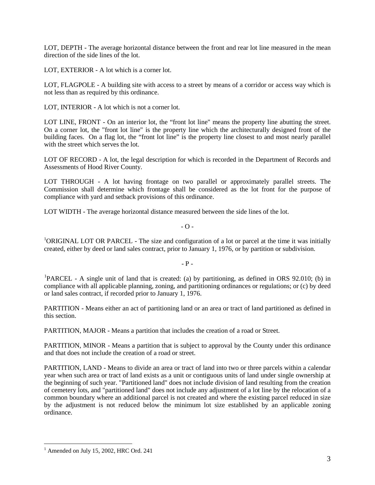LOT, DEPTH - The average horizontal distance between the front and rear lot line measured in the mean direction of the side lines of the lot.

LOT, EXTERIOR - A lot which is a corner lot.

LOT, FLAGPOLE - A building site with access to a street by means of a corridor or access way which is not less than as required by this ordinance.

LOT, INTERIOR - A lot which is not a corner lot.

LOT LINE, FRONT - On an interior lot, the "front lot line" means the property line abutting the street. On a corner lot, the "front lot line" is the property line which the architecturally designed front of the building faces. On a flag lot, the "front lot line" is the property line closest to and most nearly parallel with the street which serves the lot.

LOT OF RECORD - A lot, the legal description for which is recorded in the Department of Records and Assessments of Hood River County.

LOT THROUGH - A lot having frontage on two parallel or approximately parallel streets. The Commission shall determine which frontage shall be considered as the lot front for the purpose of compliance with yard and setback provisions of this ordinance.

LOT WIDTH - The average horizontal distance measured between the side lines of the lot.

 $-$  O  $-$ 

<sup>1</sup>ORIGINAL LOT OR PARCEL - The size and configuration of a lot or parcel at the time it was initially created, either by deed or land sales contract, prior to January 1, 1976, or by partition or subdivision.

 $-$  P  $-$ 

<sup>[1](#page-2-0)</sup>PARCEL - A single unit of land that is created: (a) by partitioning, as defined in ORS 92.010; (b) in compliance with all applicable planning, zoning, and partitioning ordinances or regulations; or (c) by deed or land sales contract, if recorded prior to January 1, 1976.

PARTITION - Means either an act of partitioning land or an area or tract of land partitioned as defined in this section.

PARTITION, MAJOR - Means a partition that includes the creation of a road or Street.

PARTITION, MINOR - Means a partition that is subject to approval by the County under this ordinance and that does not include the creation of a road or street.

PARTITION, LAND - Means to divide an area or tract of land into two or three parcels within a calendar year when such area or tract of land exists as a unit or contiguous units of land under single ownership at the beginning of such year. "Partitioned land" does not include division of land resulting from the creation of cemetery lots, and "partitioned land" does not include any adjustment of a lot line by the relocation of a common boundary where an additional parcel is not created and where the existing parcel reduced in size by the adjustment is not reduced below the minimum lot size established by an applicable zoning ordinance.

<span id="page-2-0"></span> $<sup>1</sup>$  Amended on July 15, 2002, HRC Ord. 241</sup>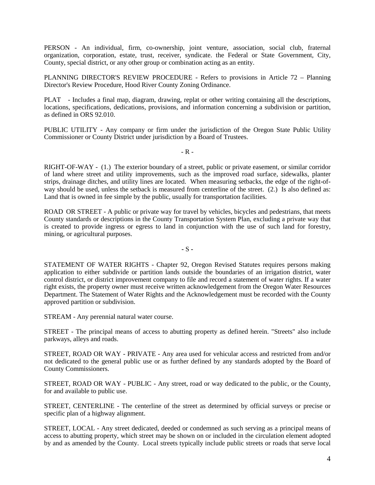PERSON - An individual, firm, co-ownership, joint venture, association, social club, fraternal organization, corporation, estate, trust, receiver, syndicate. the Federal or State Government, City, County, special district, or any other group or combination acting as an entity.

PLANNING DIRECTOR'S REVIEW PROCEDURE - Refers to provisions in Article 72 – Planning Director's Review Procedure, Hood River County Zoning Ordinance.

PLAT - Includes a final map, diagram, drawing, replat or other writing containing all the descriptions, locations, specifications, dedications, provisions, and information concerning a subdivision or partition, as defined in ORS 92.010.

PUBLIC UTILITY - Any company or firm under the jurisdiction of the Oregon State Public Utility Commissioner or County District under jurisdiction by a Board of Trustees.

 $-R -$ 

RIGHT-OF-WAY - (1.) The exterior boundary of a street, public or private easement, or similar corridor of land where street and utility improvements, such as the improved road surface, sidewalks, planter strips, drainage ditches, and utility lines are located. When measuring setbacks, the edge of the right-ofway should be used, unless the setback is measured from centerline of the street. (2.) Is also defined as: Land that is owned in fee simple by the public, usually for transportation facilities.

ROAD OR STREET - A public or private way for travel by vehicles, bicycles and pedestrians, that meets County standards or descriptions in the County Transportation System Plan, excluding a private way that is created to provide ingress or egress to land in conjunction with the use of such land for forestry, mining, or agricultural purposes.

**-** S **-**

STATEMENT OF WATER RIGHTS - Chapter 92, Oregon Revised Statutes requires persons making application to either subdivide or partition lands outside the boundaries of an irrigation district, water control district, or district improvement company to file and record a statement of water rights. If a water right exists, the property owner must receive written acknowledgement from the Oregon Water Resources Department. The Statement of Water Rights and the Acknowledgement must be recorded with the County approved partition or subdivision.

STREAM - Any perennial natural water course.

STREET - The principal means of access to abutting property as defined herein. "Streets" also include parkways, alleys and roads.

STREET, ROAD OR WAY - PRIVATE - Any area used for vehicular access and restricted from and/or not dedicated to the general public use or as further defined by any standards adopted by the Board of County Commissioners.

STREET, ROAD OR WAY - PUBLIC - Any street, road or way dedicated to the public, or the County, for and available to public use.

STREET, CENTERLINE - The centerline of the street as determined by official surveys or precise or specific plan of a highway alignment.

STREET, LOCAL - Any street dedicated, deeded or condemned as such serving as a principal means of access to abutting property, which street may be shown on or included in the circulation element adopted by and as amended by the County. Local streets typically include public streets or roads that serve local